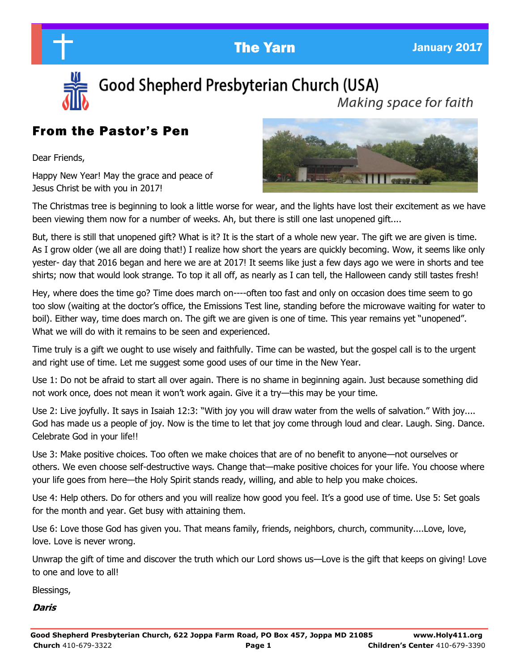

Good Shepherd Presbyterian Church (USA)

Making space for faith

# From the Pastor's Pen

Dear Friends,

Happy New Year! May the grace and peace of Jesus Christ be with you in 2017!



The Christmas tree is beginning to look a little worse for wear, and the lights have lost their excitement as we have been viewing them now for a number of weeks. Ah, but there is still one last unopened gift....

But, there is still that unopened gift? What is it? It is the start of a whole new year. The gift we are given is time. As I grow older (we all are doing that!) I realize how short the years are quickly becoming. Wow, it seems like only yester- day that 2016 began and here we are at 2017! It seems like just a few days ago we were in shorts and tee shirts; now that would look strange. To top it all off, as nearly as I can tell, the Halloween candy still tastes fresh!

Hey, where does the time go? Time does march on----often too fast and only on occasion does time seem to go too slow (waiting at the doctor's office, the Emissions Test line, standing before the microwave waiting for water to boil). Either way, time does march on. The gift we are given is one of time. This year remains yet "unopened". What we will do with it remains to be seen and experienced.

Time truly is a gift we ought to use wisely and faithfully. Time can be wasted, but the gospel call is to the urgent and right use of time. Let me suggest some good uses of our time in the New Year.

Use 1: Do not be afraid to start all over again. There is no shame in beginning again. Just because something did not work once, does not mean it won't work again. Give it a try—this may be your time.

Use 2: Live joyfully. It says in Isaiah 12:3: "With joy you will draw water from the wells of salvation." With joy.... God has made us a people of joy. Now is the time to let that joy come through loud and clear. Laugh. Sing. Dance. Celebrate God in your life!!

Use 3: Make positive choices. Too often we make choices that are of no benefit to anyone—not ourselves or others. We even choose self-destructive ways. Change that—make positive choices for your life. You choose where your life goes from here—the Holy Spirit stands ready, willing, and able to help you make choices.

Use 4: Help others. Do for others and you will realize how good you feel. It's a good use of time. Use 5: Set goals for the month and year. Get busy with attaining them.

Use 6: Love those God has given you. That means family, friends, neighbors, church, community....Love, love, love. Love is never wrong.

Unwrap the gift of time and discover the truth which our Lord shows us—Love is the gift that keeps on giving! Love to one and love to all!

Blessings,

**Daris**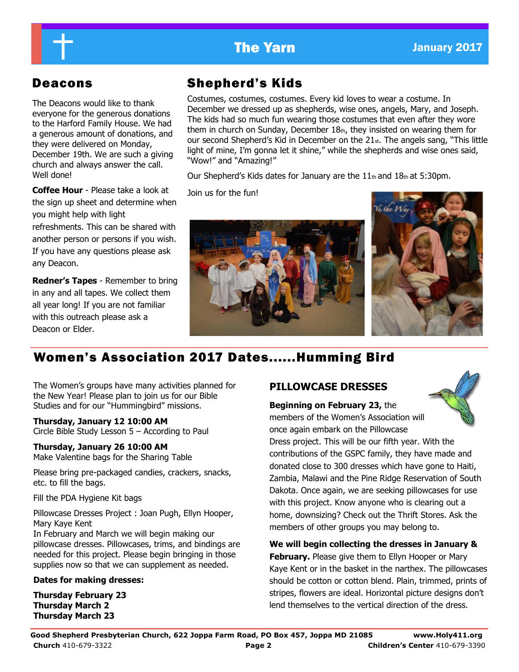# **The Yarn January 2017**

The Deacons would like to thank everyone for the generous donations to the Harford Family House. We had a generous amount of donations, and they were delivered on Monday, December 19th. We are such a giving church and always answer the call. Well done!

**Coffee Hour** - Please take a look at the sign up sheet and determine when you might help with light refreshments. This can be shared with another person or persons if you wish.

If you have any questions please ask any Deacon.

**Redner's Tapes** - Remember to bring in any and all tapes. We collect them all year long! If you are not familiar with this outreach please ask a Deacon or Elder.

# Deacons Shepherd's Kids

Costumes, costumes, costumes. Every kid loves to wear a costume. In December we dressed up as shepherds, wise ones, angels, Mary, and Joseph. The kids had so much fun wearing those costumes that even after they wore them in church on Sunday, December 18th, they insisted on wearing them for our second Shepherd's Kid in December on the 21st. The angels sang, "This little light of mine, I'm gonna let it shine," while the shepherds and wise ones said, "Wow!" and "Amazing!"

Our Shepherd's Kids dates for January are the 11th and 18th at 5:30pm.

Join us for the fun!





# Women's Association 2017 Dates......Humming Bird

The Women's groups have many activities planned for the New Year! Please plan to join us for our Bible Studies and for our "Hummingbird" missions.

## **Thursday, January 12 10:00 AM**

Circle Bible Study Lesson 5 – According to Paul

## **Thursday, January 26 10:00 AM** Make Valentine bags for the Sharing Table

Please bring pre-packaged candies, crackers, snacks, etc. to fill the bags.

Fill the PDA Hygiene Kit bags

Pillowcase Dresses Project : Joan Pugh, Ellyn Hooper, Mary Kaye Kent

In February and March we will begin making our pillowcase dresses. Pillowcases, trims, and bindings are needed for this project. Please begin bringing in those supplies now so that we can supplement as needed.

## **Dates for making dresses:**

**Thursday February 23 Thursday March 2 Thursday March 23**

## **PILLOWCASE DRESSES**

**Beginning on February 23,** the members of the Women's Association will once again embark on the Pillowcase



Dress project. This will be our fifth year. With the contributions of the GSPC family, they have made and donated close to 300 dresses which have gone to Haiti, Zambia, Malawi and the Pine Ridge Reservation of South Dakota. Once again, we are seeking pillowcases for use with this project. Know anyone who is clearing out a home, downsizing? Check out the Thrift Stores. Ask the members of other groups you may belong to.

**We will begin collecting the dresses in January & February.** Please give them to Ellyn Hooper or Mary Kaye Kent or in the basket in the narthex. The pillowcases should be cotton or cotton blend. Plain, trimmed, prints of stripes, flowers are ideal. Horizontal picture designs don't lend themselves to the vertical direction of the dress.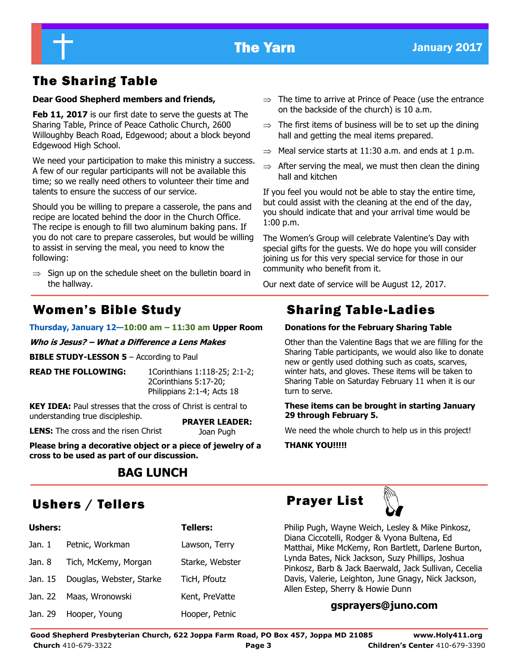# The Sharing Table

## **Dear Good Shepherd members and friends,**

**Feb 11, 2017** is our first date to serve the guests at The Sharing Table, Prince of Peace Catholic Church, 2600 Willoughby Beach Road, Edgewood; about a block beyond Edgewood High School.

We need your participation to make this ministry a success. A few of our regular participants will not be available this time; so we really need others to volunteer their time and talents to ensure the success of our service.

Should you be willing to prepare a casserole, the pans and recipe are located behind the door in the Church Office. The recipe is enough to fill two aluminum baking pans. If you do not care to prepare casseroles, but would be willing to assist in serving the meal, you need to know the following:

 $\Rightarrow$  Sign up on the schedule sheet on the bulletin board in the hallway.

### **Thursday, January 12—10:00 am – 11:30 am Upper Room**

**Who is Jesus? – What a Difference a Lens Makes**

**BIBLE STUDY-LESSON 5** – According to Paul

**READ THE FOLLOWING:** 1Corinthians 1:118-25; 2:1-2; 2Corinthians 5:17-20; Philippians 2:1-4; Acts 18

**KEY IDEA:** Paul stresses that the cross of Christ is central to understanding true discipleship. **PRAYER LEADER:** 

**LENS:** The cross and the risen Christ

Joan Pugh

**Please bring a decorative object or a piece of jewelry of a cross to be used as part of our discussion.**

## **BAG LUNCH**

# Ushers / Tellers **Prayer List**

| <b>Ushers:</b> |                          | <b>Tellers:</b> |
|----------------|--------------------------|-----------------|
| Jan. 1         | Petnic, Workman          | Lawson, Terry   |
| Jan. 8         | Tich, McKemy, Morgan     | Starke, Webster |
| Jan. 15        | Douglas, Webster, Starke | TicH, Pfoutz    |
| Jan. 22        | Maas, Wronowski          | Kent, PreVatte  |
|                | Jan. 29 Hooper, Young    | Hooper, Petnic  |

- $\Rightarrow$  The time to arrive at Prince of Peace (use the entrance on the backside of the church) is 10 a.m.
- $\Rightarrow$  The first items of business will be to set up the dining hall and getting the meal items prepared.
- $\Rightarrow$  Meal service starts at 11:30 a.m. and ends at 1 p.m.
- $\Rightarrow$  After serving the meal, we must then clean the dining hall and kitchen

If you feel you would not be able to stay the entire time, but could assist with the cleaning at the end of the day, you should indicate that and your arrival time would be 1:00 p.m.

The Women's Group will celebrate Valentine's Day with special gifts for the guests. We do hope you will consider joining us for this very special service for those in our community who benefit from it.

Our next date of service will be August 12, 2017.

## Women's Bible Study **Sharing Table-Ladies**

## **Donations for the February Sharing Table**

Other than the Valentine Bags that we are filling for the Sharing Table participants, we would also like to donate new or gently used clothing such as coats, scarves, winter hats, and gloves. These items will be taken to Sharing Table on Saturday February 11 when it is our turn to serve.

## **These items can be brought in starting January 29 through February 5.**

We need the whole church to help us in this project!

**THANK YOU!!!!!**



Philip Pugh, Wayne Weich, Lesley & Mike Pinkosz, Diana Ciccotelli, Rodger & Vyona Bultena, Ed Matthai, Mike McKemy, Ron Bartlett, Darlene Burton, Lynda Bates, Nick Jackson, Suzy Phillips, Joshua Pinkosz, Barb & Jack Baerwald, Jack Sullivan, Cecelia Davis, Valerie, Leighton, June Gnagy, Nick Jackson, Allen Estep, Sherry & Howie Dunn

## **gsprayers@juno.com**